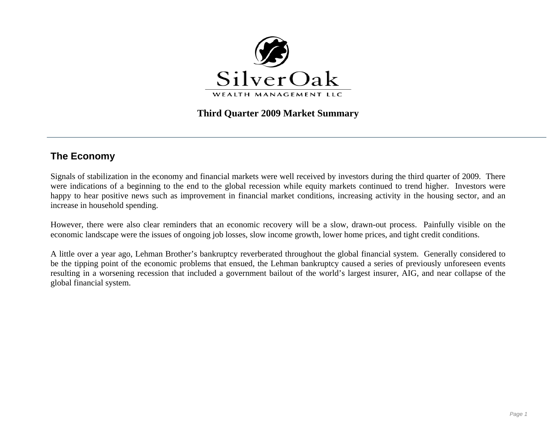

## **Third Quarter 2009 Market Summary**

# **The Economy**

Signals of stabilization in the economy and financial markets were well received by investors during the third quarter of 2009. There were indications of a beginning to the end to the global recession while equity markets continued to trend higher. Investors were happy to hear positive news such as improvement in financial market conditions, increasing activity in the housing sector, and an increase in household spending.

However, there were also clear reminders that an economic recovery will be a slow, drawn-out process. Painfully visible on the economic landscape were the issues of ongoing job losses, slow income growth, lower home prices, and tight credit conditions.

A little over a year ago, Lehman Brother's bankruptcy reverberated throughout the global financial system. Generally considered to be the tipping point of the economic problems that ensued, the Lehman bankruptcy caused a series of previously unforeseen events resulting in a worsening recession that included a government bailout of the world's largest insurer, AIG, and near collapse of the global financial system.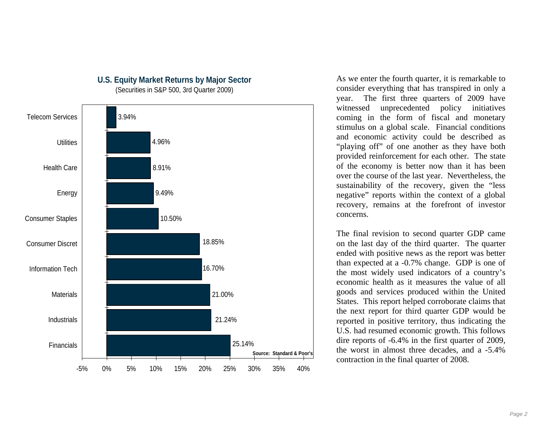

**U.S. Equity Market Returns by Major Sector** 

(Securities in S&P 500, 3rd Quarter 2009)

As we enter the fourth quarter, it is remarkable to consider everything that has transpired in only a year. The first three quarters of 2009 have witnessed unprecedented policy initiatives coming in the form of fiscal and monetary stimulus on a global scale. Financial conditions and economic activity could be described as "playing off" of one another as they have both provided reinforcement for each other. The state of the economy is better now than it has been over the course of the last year. Nevertheless, the sustainability of the recovery, given the "less negative" reports within the context of a global recovery, remains at the forefront of investor concerns.

The final revision to second quarter GDP came on the last day of the third quarter. The quarter ended with positive news as the report was better than expected at a -0.7% change. GDP is one of the most widely used indicators of a country's economic health as it measures the value of all goods and services produced within the United States. This report helped corroborate claims that the next report for third quarter GDP would be reported in positive territory, thus indicating the U.S. had resumed economic growth. This follows dire reports of -6.4% in the first quarter of 2009, the worst in almost three decades, and a -5.4% contraction in the final quarter of 2008.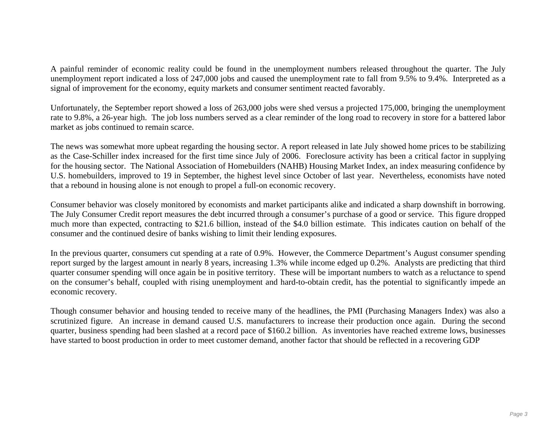A painful reminder of economic reality could be found in the unemployment numbers released throughout the quarter. The July unemployment report indicated a loss of 247,000 jobs and caused the unemployment rate to fall from 9.5% to 9.4%. Interpreted as a signal of improvement for the economy, equity markets and consumer sentiment reacted favorably.

Unfortunately, the September report showed a loss of 263,000 jobs were shed versus a projected 175,000, bringing the unemployment rate to 9.8%, a 26-year high. The job loss numbers served as a clear reminder of the long road to recovery in store for a battered labor market as jobs continued to remain scarce.

The news was somewhat more upbeat regarding the housing sector. A report released in late July showed home prices to be stabilizing as the Case-Schiller index increased for the first time since July of 2006. Foreclosure activity has been a critical factor in supplying for the housing sector. The National Association of Homebuilders (NAHB) Housing Market Index, an index measuring confidence by U.S. homebuilders, improved to 19 in September, the highest level since October of last year. Nevertheless, economists have noted that a rebound in housing alone is not enough to propel a full-on economic recovery.

Consumer behavior was closely monitored by economists and market participants alike and indicated a sharp downshift in borrowing. The July Consumer Credit report measures the debt incurred through a consumer's purchase of a good or service. This figure dropped much more than expected, contracting to \$21.6 billion, instead of the \$4.0 billion estimate. This indicates caution on behalf of the consumer and the continued desire of banks wishing to limit their lending exposures.

In the previous quarter, consumers cut spending at a rate of 0.9%. However, the Commerce Department's August consumer spending report surged by the largest amount in nearly 8 years, increasing 1.3% while income edged up 0.2%. Analysts are predicting that third quarter consumer spending will once again be in positive territory. These will be important numbers to watch as a reluctance to spend on the consumer's behalf, coupled with rising unemployment and hard-to-obtain credit, has the potential to significantly impede an economic recovery.

Though consumer behavior and housing tended to receive many of the headlines, the PMI (Purchasing Managers Index) was also a scrutinized figure. An increase in demand caused U.S. manufacturers to increase their production once again. During the second quarter, business spending had been slashed at a record pace of \$160.2 billion. As inventories have reached extreme lows, businesses have started to boost production in order to meet customer demand, another factor that should be reflected in a recovering GDP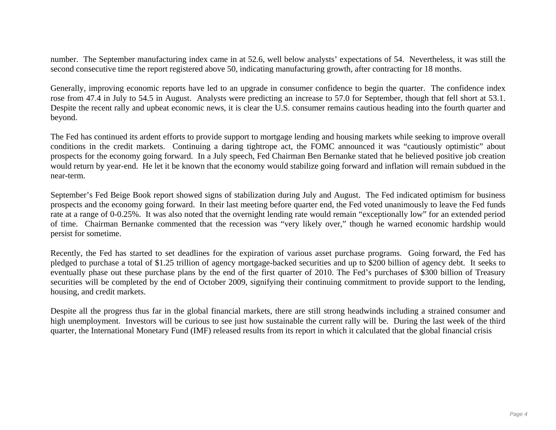number. The September manufacturing index came in at 52.6, well below analysts' expectations of 54. Nevertheless, it was still the second consecutive time the report registered above 50, indicating manufacturing growth, after contracting for 18 months.

Generally, improving economic reports have led to an upgrade in consumer confidence to begin the quarter. The confidence index rose from 47.4 in July to 54.5 in August. Analysts were predicting an increase to 57.0 for September, though that fell short at 53.1. Despite the recent rally and upbeat economic news, it is clear the U.S. consumer remains cautious heading into the fourth quarter and beyond.

The Fed has continued its ardent efforts to provide support to mortgage lending and housing markets while seeking to improve overall conditions in the credit markets. Continuing a daring tightrope act, the FOMC announced it was "cautiously optimistic" about prospects for the economy going forward. In a July speech, Fed Chairman Ben Bernanke stated that he believed positive job creation would return by year-end. He let it be known that the economy would stabilize going forward and inflation will remain subdued in the near-term.

September's Fed Beige Book report showed signs of stabilization during July and August. The Fed indicated optimism for business prospects and the economy going forward. In their last meeting before quarter end, the Fed voted unanimously to leave the Fed funds rate at a range of 0-0.25%. It was also noted that the overnight lending rate would remain "exceptionally low" for an extended period of time. Chairman Bernanke commented that the recession was "very likely over," though he warned economic hardship would persist for sometime.

Recently, the Fed has started to set deadlines for the expiration of various asset purchase programs. Going forward, the Fed has pledged to purchase a total of \$1.25 trillion of agency mortgage-backed securities and up to \$200 billion of agency debt. It seeks to eventually phase out these purchase plans by the end of the first quarter of 2010. The Fed's purchases of \$300 billion of Treasury securities will be completed by the end of October 2009, signifying their continuing commitment to provide support to the lending, housing, and credit markets.

Despite all the progress thus far in the global financial markets, there are still strong headwinds including a strained consumer and high unemployment. Investors will be curious to see just how sustainable the current rally will be. During the last week of the third quarter, the International Monetary Fund (IMF) released results from its report in which it calculated that the global financial crisis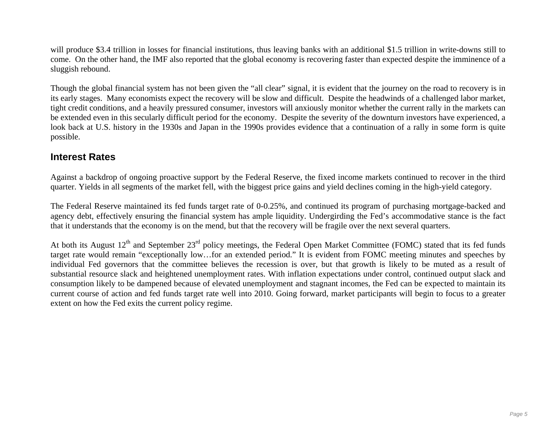will produce \$3.4 trillion in losses for financial institutions, thus leaving banks with an additional \$1.5 trillion in write-downs still to come. On the other hand, the IMF also reported that the global economy is recovering faster than expected despite the imminence of a sluggish rebound.

Though the global financial system has not been given the "all clear" signal, it is evident that the journey on the road to recovery is in its early stages. Many economists expect the recovery will be slow and difficult. Despite the headwinds of a challenged labor market, tight credit conditions, and a heavily pressured consumer, investors will anxiously monitor whether the current rally in the markets can be extended even in this secularly difficult period for the economy. Despite the severity of the downturn investors have experienced, a look back at U.S. history in the 1930s and Japan in the 1990s provides evidence that a continuation of a rally in some form is quite possible.

## **Interest Rates**

Against a backdrop of ongoing proactive support by the Federal Reserve, the fixed income markets continued to recover in the third quarter. Yields in all segments of the market fell, with the biggest price gains and yield declines coming in the high-yield category.

The Federal Reserve maintained its fed funds target rate of 0-0.25%, and continued its program of purchasing mortgage-backed and agency debt, effectively ensuring the financial system has ample liquidity. Undergirding the Fed's accommodative stance is the fact that it understands that the economy is on the mend, but that the recovery will be fragile over the next several quarters.

At both its August  $12<sup>th</sup>$  and September  $23<sup>rd</sup>$  policy meetings, the Federal Open Market Committee (FOMC) stated that its fed funds target rate would remain "exceptionally low…for an extended period." It is evident from FOMC meeting minutes and speeches by individual Fed governors that the committee believes the recession is over, but that growth is likely to be muted as a result of substantial resource slack and heightened unemployment rates. With inflation expectations under control, continued output slack and consumption likely to be dampened because of elevated unemployment and stagnant incomes, the Fed can be expected to maintain its current course of action and fed funds target rate well into 2010. Going forward, market participants will begin to focus to a greater extent on how the Fed exits the current policy regime.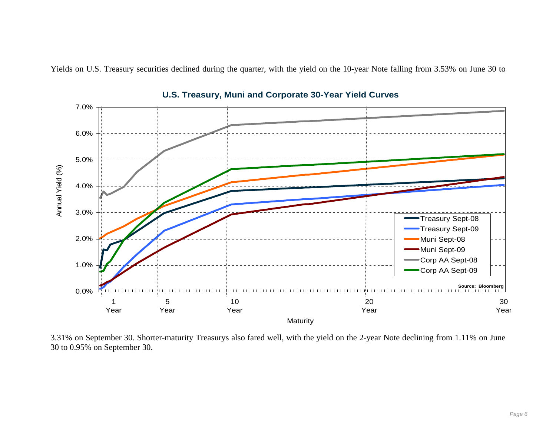Yields on U.S. Treasury securities declined during the quarter, with the yield on the 10-year Note falling from 3.53% on June 30 to



**U.S. Treasury, Muni and Corporate 30-Year Yield Curves**

3.31% on September 30. Shorter-maturity Treasurys also fared well, with the yield on the 2-year Note declining from 1.11% on June 30 to 0.95% on September 30.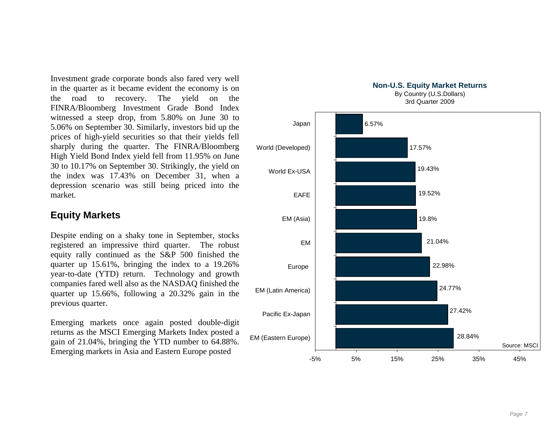Investment grade corporate bonds also fared very well in the quarter as it became evident the economy is on the road to recovery. The yield on the FINRA/Bloomberg Investment Grade Bond Index witnessed a steep drop, from 5.80% on June 30 to 5.06% on September 30. Similarly, investors bid up the prices of high-yield securities so that their yields fell sharply during the quarter. The FINRA/Bloomberg High Yield Bond Index yield fell from 11.95% on June 30 to 10.17% on September 30. Strikingly, the yield on the index was 17.43% on December 31, when a depression scenario was still being priced into the market.

### **Equity Markets**

Despite ending on a shaky tone in September, stocks registered an impressive third quarter. The robust equity rally continued as the S&P 500 finished the quarter up 15.61%, bringing the index to a 19.26% year-to-date (YTD) return. Technology and growth companies fared well also as the NASDAQ finished the quarter up 15.66%, following a 20.32% gain in the previous quarter.

Emerging markets once again posted double-digit returns as the MSCI Emerging Markets Index posted a gain of 21.04%, bringing the YTD number to 64.88%. Emerging markets in Asia and Eastern Europe posted



3rd Quarter 2009